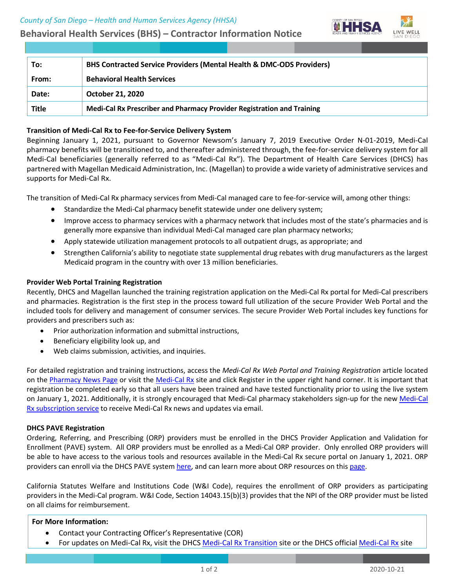**Behavioral Health Services (BHS) – Contractor Information Notice**



| To:          | <b>BHS Contracted Service Providers (Mental Health &amp; DMC-ODS Providers)</b> |
|--------------|---------------------------------------------------------------------------------|
| From:        | <b>Behavioral Health Services</b>                                               |
| Date:        | <b>October 21, 2020</b>                                                         |
| <b>Title</b> | Medi-Cal Rx Prescriber and Pharmacy Provider Registration and Training          |

## **Transition of Medi-Cal Rx to Fee-for-Service Delivery System**

Beginning January 1, 2021, pursuant to Governor Newsom's January 7, 2019 Executive Order N-01-2019, Medi-Cal pharmacy benefits will be transitioned to, and thereafter administered through, the fee-for-service delivery system for all Medi-Cal beneficiaries (generally referred to as "Medi-Cal Rx"). The Department of Health Care Services (DHCS) has partnered with Magellan Medicaid Administration, Inc. (Magellan) to provide a wide variety of administrative services and supports for Medi-Cal Rx.

The transition of Medi-Cal Rx pharmacy services from Medi-Cal managed care to fee-for-service will, among other things:

- Standardize the Medi-Cal pharmacy benefit statewide under one delivery system;
- Improve access to pharmacy services with a pharmacy network that includes most of the state's pharmacies and is generally more expansive than individual Medi-Cal managed care plan pharmacy networks;
- Apply statewide utilization management protocols to all outpatient drugs, as appropriate; and
- Strengthen California's ability to negotiate state supplemental drug rebates with drug manufacturers as the largest Medicaid program in the country with over 13 million beneficiaries.

### **Provider Web Portal Training Registration**

Recently, DHCS and Magellan launched the training registration application on the Medi-Cal Rx portal for Medi-Cal prescribers and pharmacies. Registration is the first step in the process toward full utilization of the secure Provider Web Portal and the included tools for delivery and management of consumer services. The secure Provider Web Portal includes key functions for providers and prescribers such as:

- Prior authorization information and submittal instructions,
- Beneficiary eligibility look up, and
- Web claims submission, activities, and inquiries.

For detailed registration and training instructions, access the *Medi-Cal Rx Web Portal and Training Registration* article located on th[e Pharmacy News Page](https://medi-calrx.dhcs.ca.gov/provider/pharmacy-news) or visit th[e Medi-Cal Rx](https://medi-calrx.dhcs.ca.gov/provider) site and click Register in the upper right hand corner. It is important that registration be completed early so that all users have been trained and have tested functionality prior to using the live system on January 1, 2021. Additionally, it is strongly encouraged that Medi-Cal pharmacy stakeholders sign-up for the new Medi-Cal [Rx subscription service](https://gcc01.safelinks.protection.outlook.com/?url=https%3A%2F%2Furldefense.com%2Fv3%2F__https%3A%2Fmcrxsspages.dhcs.ca.gov%2FMedi-CalRxDHCScagov-Subscription-Sign-Up__%3B!!A_Yfr0wlxos!mSOC13BB2CB2Um6M_A0j6OKrCKqj6CUDu8KG4QruHQFl2AYHW-E08GZS5rFOBfv4FgFJ%24&data=02%7C01%7CHarry.Hendrix%40dhcs.ca.gov%7Cf79d7cb179b04f66254508d85bf3e2be%7C265c2dcd2a6e43aab2e826421a8c8526%7C0%7C0%7C637360450469273981&sdata=75RUPF6NbVOy91GsKUoX4No6Weu91I94TCzLspX5Sdg%3D&reserved=0) to receive Medi-Cal Rx news and updates via email.

### **DHCS PAVE Registration**

Ordering, Referring, and Prescribing (ORP) providers must be enrolled in the DHCS Provider Application and Validation for Enrollment (PAVE) system. All ORP providers must be enrolled as a Medi-Cal ORP provider. Only enrolled ORP providers will be able to have access to the various tools and resources available in the Medi-Cal Rx secure portal on January 1, 2021. ORP providers can enroll via the DHCS PAVE syste[m here,](https://www.dhcs.ca.gov/provgovpart/Pages/PAVE.aspx) and can learn more about ORP resources on thi[s page.](https://files.medi-cal.ca.gov/pubsdoco/ordering_referring_and_prescribing/orp_landing_page.aspx)

California Statutes Welfare and Institutions Code (W&I Code), requires the enrollment of ORP providers as participating providers in the Medi-Cal program. W&I Code, Section 14043.15(b)(3) provides that the NPI of the ORP provider must be listed on all claims for reimbursement.

### **For More Information:**

- Contact your Contracting Officer's Representative (COR)
- For updates on Medi-Cal Rx, visit the DHCS [Medi-Cal Rx Transition](https://www.dhcs.ca.gov/provgovpart/pharmacy/Pages/Medi-CalRX.aspx) site or the DHCS official [Medi-Cal Rx](https://gcc01.safelinks.protection.outlook.com/?url=https%3A%2F%2Fmedi-calrx.dhcs.ca.gov%2Fhome&data=02%7C01%7CSantosh.Chhetri%40dhcs.ca.gov%7Cc37dee2a0b3e47115c1808d858fc4e3e%7C265c2dcd2a6e43aab2e826421a8c8526%7C0%7C0%7C637357187947027625&sdata=0kEI0UT%2FnRY5d0cGNguo2HOh1uPi6ey4QTlS3ORFTCo%3D&reserved=0) site